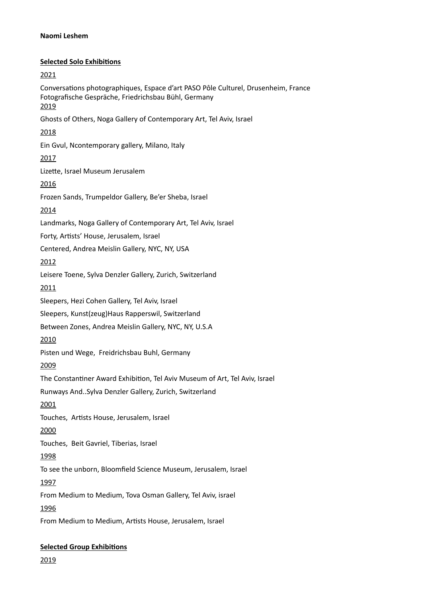## **Naomi Leshem**

## **Selected Solo Exhibitions**

2021 Conversations photographiques, Espace d'art PASO Pôle Culturel, Drusenheim, France Fotografische Gespräche, Friedrichsbau Bühl, Germany 2019 Ghosts of Others, Noga Gallery of Contemporary Art, Tel Aviv, Israel 2018 Ein Gvul, Ncontemporary gallery, Milano, Italy 2017 Lizette, Israel Museum Jerusalem 2016 Frozen Sands, Trumpeldor Gallery, Be'er Sheba, Israel 2014 Landmarks, Noga Gallery of Contemporary Art, Tel Aviv, Israel Forty, Artists' House, Jerusalem, Israel Centered, Andrea Meislin Gallery, NYC, NY, USA 2012 Leisere Toene, Sylva Denzler Gallery, Zurich, Switzerland 2011 Sleepers, Hezi Cohen Gallery, Tel Aviv, Israel Sleepers, Kunst(zeug)Haus Rapperswil, Switzerland Between Zones, Andrea Meislin Gallery, NYC, NY, U.S.A 2010 Pisten und Wege, Freidrichsbau Buhl, Germany 2009 The Constantiner Award Exhibition, Tel Aviv Museum of Art, Tel Aviv, Israel Runways And..Sylva Denzler Gallery, Zurich, Switzerland 2001 Touches, Artists House, Jerusalem, Israel 2000 Touches, Beit Gavriel, Tiberias, Israel 1998 To see the unborn, Bloomfield Science Museum, Jerusalem, Israel 1997 From Medium to Medium, Tova Osman Gallery, Tel Aviv, israel 1996 From Medium to Medium, Artists House, Jerusalem, Israel

# **Selected Group Exhibitions**

2019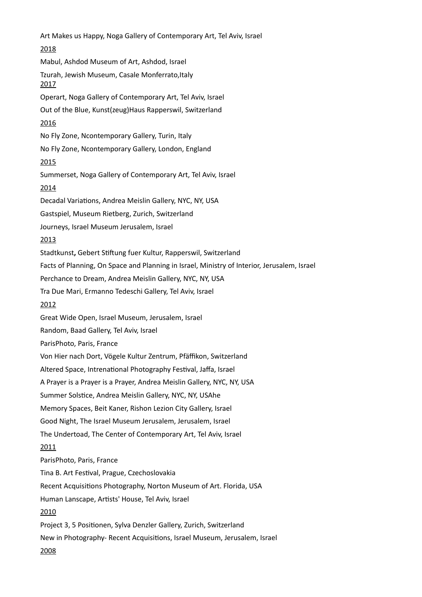Art Makes us Happy, Noga Gallery of Contemporary Art, Tel Aviv, Israel 2018 Mabul, Ashdod Museum of Art, Ashdod, Israel Tzurah, Jewish Museum, Casale Monferrato, Italy 2017 Operart, Noga Gallery of Contemporary Art, Tel Aviv, Israel Out of the Blue, Kunst(zeug)Haus Rapperswil, Switzerland 2016 No Fly Zone, Ncontemporary Gallery, Turin, Italy No Fly Zone, Ncontemporary Gallery, London, England 2015 Summerset, Noga Gallery of Contemporary Art, Tel Aviv, Israel 2014 Decadal Variations, Andrea Meislin Gallery, NYC, NY, USA Gastspiel, Museum Rietberg, Zurich, Switzerland Journeys, Israel Museum Jerusalem, Israel 2013 Stadtkunst**,** Gebert Stiftung fuer Kultur, Rapperswil, Switzerland Facts of Planning, On Space and Planning in Israel, Ministry of Interior, Jerusalem, Israel Perchance to Dream, Andrea Meislin Gallery, NYC, NY, USA Tra Due Mari, Ermanno Tedeschi Gallery, Tel Aviv, Israel 2012 Great Wide Open, Israel Museum, Jerusalem, Israel Random, Baad Gallery, Tel Aviv, Israel ParisPhoto, Paris, France Von Hier nach Dort, Vögele Kultur Zentrum, Pfäffikon, Switzerland Altered Space, Intrenational Photography Festival, Jaffa, Israel A Prayer is a Prayer is a Prayer, Andrea Meislin Gallery, NYC, NY, USA Summer Solstice, Andrea Meislin Gallery, NYC, NY, USAhe Memory Spaces, Beit Kaner, Rishon Lezion City Gallery, Israel Good Night, The Israel Museum Jerusalem, Jerusalem, Israel The Undertoad, The Center of Contemporary Art, Tel Aviv, Israel 2011 ParisPhoto, Paris, France Tina B. Art Festival, Prague, Czechoslovakia Recent Acquisitions Photography, Norton Museum of Art. Florida, USA Human Lanscape, Artists' House, Tel Aviv, Israel 2010 Project 3, 5 Positionen, Sylva Denzler Gallery, Zurich, Switzerland New in Photography- Recent Acquisitions, Israel Museum, Jerusalem, Israel 2008